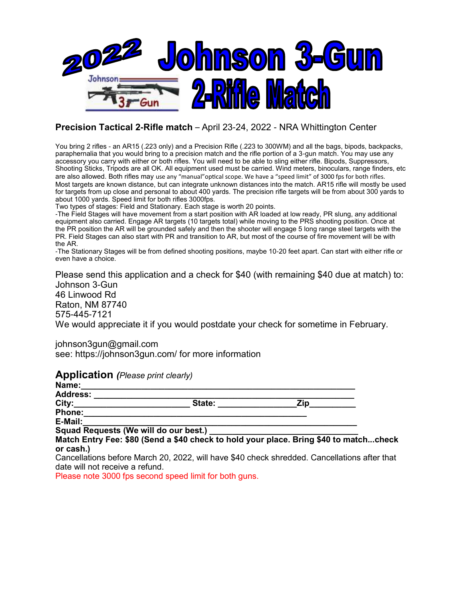

## **Precision Tactical 2-Rifle match** – April 23-24, 2022 - NRA Whittington Center

You bring 2 rifles - an AR15 (.223 only) and a Precision Rifle (.223 to 300WM) and all the bags, bipods, backpacks, paraphernalia that you would bring to a precision match and the rifle portion of a 3-gun match. You may use any accessory you carry with either or both rifles. You will need to be able to sling either rifle. Bipods, Suppressors, Shooting Sticks, Tripods are all OK. All equipment used must be carried. Wind meters, binoculars, range finders, etc are also allowed. Both rifles may use any "manual"optical scope. We have a "speed limit" of 3000 fps for both rifles. Most targets are known distance, but can integrate unknown distances into the match. AR15 rifle will mostly be used for targets from up close and personal to about 400 yards. The precision rifle targets will be from about 300 yards to about 1000 yards. Speed limit for both rifles 3000fps.

Two types of stages: Field and Stationary. Each stage is worth 20 points.

-The Field Stages will have movement from a start position with AR loaded at low ready, PR slung, any additional equipment also carried. Engage AR targets (10 targets total) while moving to the PRS shooting position. Once at the PR position the AR will be grounded safely and then the shooter will engage 5 long range steel targets with the PR. Field Stages can also start with PR and transition to AR, but most of the course of fire movement will be with the AR.

-The Stationary Stages will be from defined shooting positions, maybe 10-20 feet apart. Can start with either rifle or even have a choice.

Please send this application and a check for \$40 (with remaining \$40 due at match) to: Johnson 3-Gun 46 Linwood Rd Raton, NM 87740 575-445-7121 We would appreciate it if you would postdate your check for sometime in February.

johnson3gun@gmail.com see: https://johnson3gun.com/ for more information

## **Application** *(Please print clearly)*

| $\sim$ . The figure of the contract of the contract of the contract of the contract of the contract of the contract of the contract of the contract of the contract of the contract of the contract of the contract of the cont<br>Name: |                                                                                |     |
|------------------------------------------------------------------------------------------------------------------------------------------------------------------------------------------------------------------------------------------|--------------------------------------------------------------------------------|-----|
| <b>Address:</b>                                                                                                                                                                                                                          |                                                                                |     |
| City:                                                                                                                                                                                                                                    | State:                                                                         | Zin |
| <b>Phone:</b>                                                                                                                                                                                                                            |                                                                                |     |
| E-Mail:                                                                                                                                                                                                                                  |                                                                                |     |
| Squad Requests (We will do our best.)                                                                                                                                                                                                    |                                                                                |     |
|                                                                                                                                                                                                                                          | Match Entry Fee: \$80 (Send a \$40 check to hold your place, Bring \$40 to mat |     |

**Match Entry Fee: \$80 (Send a \$40 check to hold your place. Bring \$40 to match...check or cash.)**

Cancellations before March 20, 2022, will have \$40 check shredded. Cancellations after that date will not receive a refund.

Please note 3000 fps second speed limit for both guns.